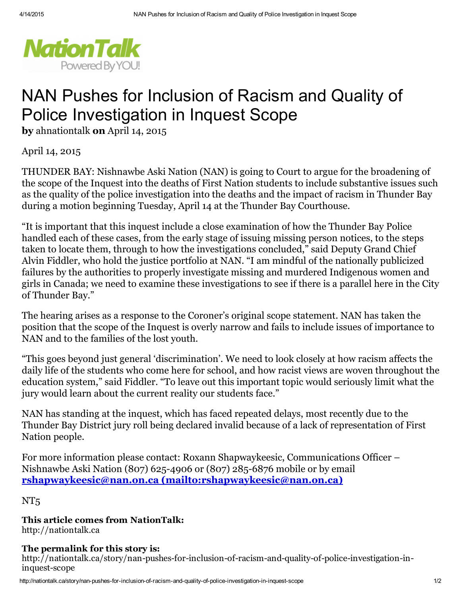

## NAN Pushes for Inclusion of Racism and Quality of Police Investigation in Inquest Scope

by ahnationtalk on April 14, 2015

April 14, 2015

THUNDER BAY: Nishnawbe Aski Nation (NAN) is going to Court to argue for the broadening of the scope of the Inquest into the deaths of First Nation students to include substantive issues such as the quality of the police investigation into the deaths and the impact of racism in Thunder Bay during a motion beginning Tuesday, April 14 at the Thunder Bay Courthouse.

"It is important that this inquest include a close examination of how the Thunder Bay Police handled each of these cases, from the early stage of issuing missing person notices, to the steps taken to locate them, through to how the investigations concluded," said Deputy Grand Chief Alvin Fiddler, who hold the justice portfolio at NAN. "I am mindful of the nationally publicized failures by the authorities to properly investigate missing and murdered Indigenous women and girls in Canada; we need to examine these investigations to see if there is a parallel here in the City of Thunder Bay."

The hearing arises as a response to the Coroner's original scope statement. NAN has taken the position that the scope of the Inquest is overly narrow and fails to include issues of importance to NAN and to the families of the lost youth.

"This goes beyond just general 'discrimination'. We need to look closely at how racism affects the daily life of the students who come here for school, and how racist views are woven throughout the education system," said Fiddler. "To leave out this important topic would seriously limit what the jury would learn about the current reality our students face."

NAN has standing at the inquest, which has faced repeated delays, most recently due to the Thunder Bay District jury roll being declared invalid because of a lack of representation of First Nation people.

For more information please contact: Roxann Shapwaykeesic, Communications Officer – Nishnawbe Aski Nation (807) 625-4906 or (807) 285-6876 mobile or by email rshapwaykeesic@nan.on.ca [\(mailto:rshapwaykeesic@nan.on.ca\)](mailto:rshapwaykeesic@nan.on.ca)

NT<sub>5</sub>

This article comes from NationTalk: http://nationtalk.ca

## The permalink for this story is:

http://nationtalk.ca/story/nan-pushes-for-inclusion-of-racism-and-quality-of-police-investigation-ininquest-scope